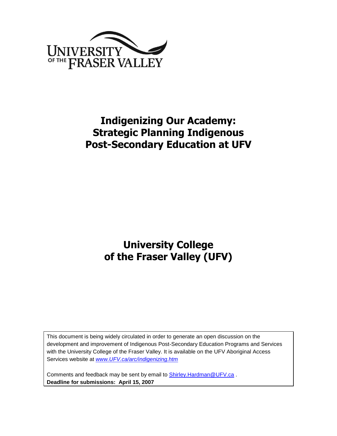

## **Indigenizing Our Academy: Strategic Planning Indigenous Post-Secondary Education at UFV**

**University College of the Fraser Valley (UFV)**

This document is being widely circulated in order to generate an open discussion on the development and improvement of Indigenous Post-Secondary Education Programs and Services with the University College of the Fraser Valley. It is available on the UFV Aboriginal Access Services website at *[www.UFV.ca/arc/indigenizing.htm](http://www.ucfv.ca/arc/indigenizing.htm)* 

Comments and feedback may be sent by email to **Shirley. Hardman @UFV.ca**. **Deadline for submissions: April 15, 2007**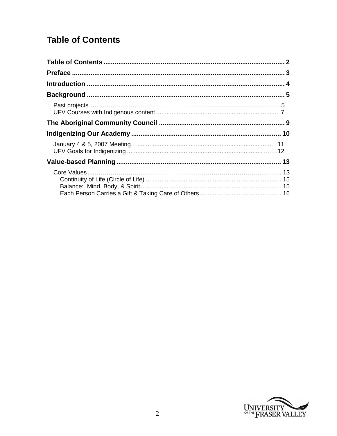## <span id="page-1-0"></span>**Table of Contents**

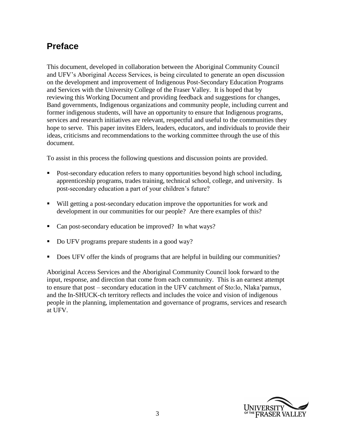## <span id="page-2-0"></span>**Preface**

This document, developed in collaboration between the Aboriginal Community Council and UFV's Aboriginal Access Services, is being circulated to generate an open discussion on the development and improvement of Indigenous Post-Secondary Education Programs and Services with the University College of the Fraser Valley. It is hoped that by reviewing this Working Document and providing feedback and suggestions for changes, Band governments, Indigenous organizations and community people, including current and former indigenous students, will have an opportunity to ensure that Indigenous programs, services and research initiatives are relevant, respectful and useful to the communities they hope to serve. This paper invites Elders, leaders, educators, and individuals to provide their ideas, criticisms and recommendations to the working committee through the use of this document.

To assist in this process the following questions and discussion points are provided.

- Post-secondary education refers to many opportunities beyond high school including, apprenticeship programs, trades training, technical school, college, and university. Is post-secondary education a part of your children's future?
- Will getting a post-secondary education improve the opportunities for work and development in our communities for our people? Are there examples of this?
- Can post-secondary education be improved? In what ways?
- Do UFV programs prepare students in a good way?
- Does UFV offer the kinds of programs that are helpful in building our communities?

Aboriginal Access Services and the Aboriginal Community Council look forward to the input, response, and direction that come from each community. This is an earnest attempt to ensure that post – secondary education in the UFV catchment of Sto:lo, Nlaka'pamux, and the In-SHUCK-ch territory reflects and includes the voice and vision of indigenous people in the planning, implementation and governance of programs, services and research at UFV.

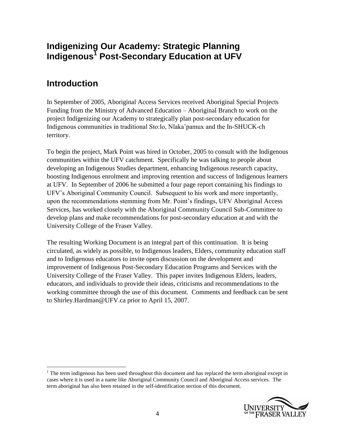## **Indigenizing Our Academy: Strategic Planning Indigenous<sup>1</sup> Post-Secondary Education at UFV**

## <span id="page-3-0"></span>**Introduction**

 $\overline{a}$ 

In September of 2005, Aboriginal Access Services received Aboriginal Special Projects Funding from the Ministry of Advanced Education – Aboriginal Branch to work on the project Indigenizing our Academy to strategically plan post-secondary education for Indigenous communities in traditional Sto:lo, Nlaka'pamux and the In-SHUCK-ch territory.

To begin the project, Mark Point was hired in October, 2005 to consult with the Indigenous communities within the UFV catchment. Specifically he was talking to people about developing an Indigenous Studies department, enhancing Indigenous research capacity, boosting Indigenous enrolment and improving retention and success of Indigenous learners at UFV. In September of 2006 he submitted a four page report containing his findings to UFV's Aboriginal Community Council. Subsequent to his work and more importantly, upon the recommendations stemming from Mr. Point's findings, UFV Aboriginal Access Services, has worked closely with the Aboriginal Community Council Sub-Committee to develop plans and make recommendations for post-secondary education at and with the University College of the Fraser Valley.

The resulting Working Document is an integral part of this continuation. It is being circulated, as widely as possible, to Indigenous leaders, Elders, community education staff and to Indigenous educators to invite open discussion on the development and improvement of Indigenous Post-Secondary Education Programs and Services with the University College of the Fraser Valley. This paper invites Indigenous Elders, leaders, educators, and individuals to provide their ideas, criticisms and recommendations to the working committee through the use of this document. Comments and feedback can be sent to [Shirley.Hardman@UFV.ca](mailto:Shirley.Hardman@ucfv.ca) prior to April 15, 2007.

 $1$  The term indigenous has been used throughout this document and has replaced the term aboriginal except in cases where it is used in a name like Aboriginal Community Council and Aboriginal Access services. The term aboriginal has also been retained in the self-identification section of this document.

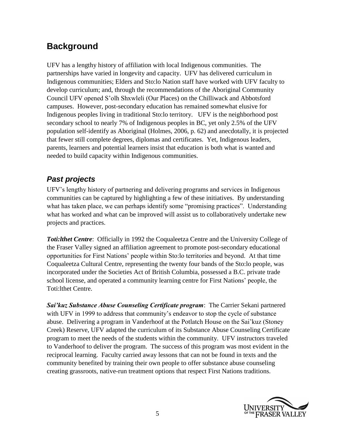## <span id="page-4-0"></span>**Background**

UFV has a lengthy history of affiliation with local Indigenous communities. The partnerships have varied in longevity and capacity. UFV has delivered curriculum in Indigenous communities; Elders and Sto:lo Nation staff have worked with UFV faculty to develop curriculum; and, through the recommendations of the Aboriginal Community Council UFV opened S'olh Shxwleli (Our Places) on the Chilliwack and Abbotsford campuses. However, post-secondary education has remained somewhat elusive for Indigenous peoples living in traditional Sto:lo territory. UFV is the neighborhood post secondary school to nearly 7% of Indigenous peoples in BC, yet only 2.5% of the UFV population self-identify as Aboriginal (Holmes, 2006, p. 62) and anecdotally, it is projected that fewer still complete degrees, diplomas and certificates. Yet, Indigenous leaders, parents, learners and potential learners insist that education is both what is wanted and needed to build capacity within Indigenous communities.

## <span id="page-4-1"></span>*Past projects*

UFV's lengthy history of partnering and delivering programs and services in Indigenous communities can be captured by highlighting a few of these initiatives. By understanding what has taken place, we can perhaps identify some "promising practices". Understanding what has worked and what can be improved will assist us to collaboratively undertake new projects and practices.

**Toti: lthet Centre:** Officially in 1992 the Coqualeetza Centre and the University College of the Fraser Valley signed an affiliation agreement to promote post-secondary educational opportunities for First Nations' people within Sto:lo territories and beyond. At that time Coqualeetza Cultural Centre, representing the twenty four bands of the Sto:lo people, was incorporated under the Societies Act of British Columbia, possessed a B.C. private trade school license, and operated a community learning centre for First Nations' people, the Toti:lthet Centre.

*Sai'kuz Substance Abuse Counseling Certificate program*: The Carrier Sekani partnered with UFV in 1999 to address that community's endeavor to stop the cycle of substance abuse. Delivering a program in Vanderhoof at the Potlatch House on the Sai'kuz (Stoney Creek) Reserve, UFV adapted the curriculum of its Substance Abuse Counseling Certificate program to meet the needs of the students within the community. UFV instructors traveled to Vanderhoof to deliver the program. The success of this program was most evident in the reciprocal learning. Faculty carried away lessons that can not be found in texts and the community benefited by training their own people to offer substance abuse counseling creating grassroots, native-run treatment options that respect First Nations traditions.

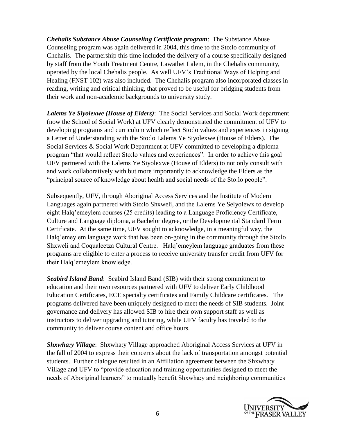*Chehalis Substance Abuse Counseling Certificate program*: The Substance Abuse Counseling program was again delivered in 2004, this time to the Sto:lo community of Chehalis. The partnership this time included the delivery of a course specifically designed by staff from the Youth Treatment Centre, Lawathet Lalem, in the Chehalis community, operated by the local Chehalis people. As well UFV's Traditional Ways of Helping and Healing (FNST 102) was also included. The Chehalis program also incorporated classes in reading, writing and critical thinking, that proved to be useful for bridging students from their work and non-academic backgrounds to university study.

*Lalems Ye Siyolexwe (House of Elders)*: The Social Services and Social Work department (now the School of Social Work) at UFV clearly demonstrated the commitment of UFV to developing programs and curriculum which reflect Sto:lo values and experiences in signing a Letter of Understanding with the Sto:lo Lalems Ye Siyolexwe (House of Elders). The Social Services & Social Work Department at UFV committed to developing a diploma program "that would reflect Sto:lo values and experiences". In order to achieve this goal UFV partnered with the Lalems Ye Siyolexwe (House of Elders) to not only consult with and work collaboratively with but more importantly to acknowledge the Elders as the "principal source of knowledge about health and social needs of the Sto:lo people".

Subsequently, UFV, through Aboriginal Access Services and the Institute of Modern Languages again partnered with Sto:lo Shxweli, and the Lalems Ye Selyolewx to develop eight Halq'emeylem courses (25 credits) leading to a Language Proficiency Certificate, Culture and Language diploma, a Bachelor degree, or the Developmental Standard Term Certificate. At the same time, UFV sought to acknowledge, in a meaningful way, the Halq'emeylem language work that has been on-going in the community through the Sto:lo Shxweli and Coqualeetza Cultural Centre. Halq'emeylem language graduates from these programs are eligible to enter a process to receive university transfer credit from UFV for their Halq'emeylem knowledge.

*Seabird Island Band*: Seabird Island Band (SIB) with their strong commitment to education and their own resources partnered with UFV to deliver Early Childhood Education Certificates, ECE specialty certificates and Family Childcare certificates. The programs delivered have been uniquely designed to meet the needs of SIB students. Joint governance and delivery has allowed SIB to hire their own support staff as well as instructors to deliver upgrading and tutoring, while UFV faculty has traveled to the community to deliver course content and office hours.

*Shxwha:y Village*: Shxwha:y Village approached Aboriginal Access Services at UFV in the fall of 2004 to express their concerns about the lack of transportation amongst potential students. Further dialogue resulted in an Affiliation agreement between the Shxwha:y Village and UFV to "provide education and training opportunities designed to meet the needs of Aboriginal learners" to mutually benefit Shxwha:y and neighboring communities

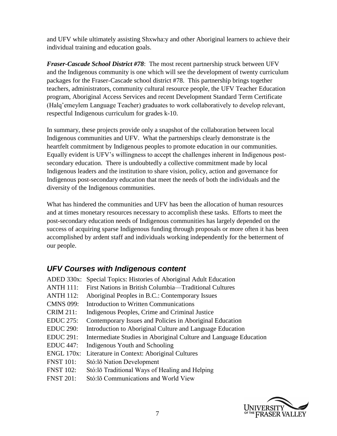and UFV while ultimately assisting Shxwha:y and other Aboriginal learners to achieve their individual training and education goals.

*Fraser-Cascade School District #78*: The most recent partnership struck between UFV and the Indigenous community is one which will see the development of twenty curriculum packages for the Fraser-Cascade school district #78. This partnership brings together teachers, administrators, community cultural resource people, the UFV Teacher Education program, Aboriginal Access Services and recent Development Standard Term Certificate (Halq'emeylem Language Teacher) graduates to work collaboratively to develop relevant, respectful Indigenous curriculum for grades k-10.

In summary, these projects provide only a snapshot of the collaboration between local Indigenous communities and UFV. What the partnerships clearly demonstrate is the heartfelt commitment by Indigenous peoples to promote education in our communities. Equally evident is UFV's willingness to accept the challenges inherent in Indigenous postsecondary education. There is undoubtedly a collective commitment made by local Indigenous leaders and the institution to share vision, policy, action and governance for Indigenous post-secondary education that meet the needs of both the individuals and the diversity of the Indigenous communities.

What has hindered the communities and UFV has been the allocation of human resources and at times monetary resources necessary to accomplish these tasks. Efforts to meet the post-secondary education needs of Indigenous communities has largely depended on the success of acquiring sparse Indigenous funding through proposals or more often it has been accomplished by ardent staff and individuals working independently for the betterment of our people.

## <span id="page-6-0"></span>*UFV Courses with Indigenous content*

- ADED 330x: Special Topics: Histories of Aboriginal Adult Education
- ANTH 111: First Nations in British Columbia—Traditional Cultures
- ANTH 112: Aboriginal Peoples in B.C.: Contemporary Issues
- CMNS 099: Introduction to Written Communications
- CRIM 211: Indigenous Peoples, Crime and Criminal Justice
- EDUC 275: Contemporary Issues and Policies in Aboriginal Education
- EDUC 290: Introduction to Aboriginal Culture and Language Education
- EDUC 291: Intermediate Studies in Aboriginal Culture and Language Education
- EDUC 447: Indigenous Youth and Schooling
- ENGL 170x: Literature in Context: Aboriginal Cultures
- FNST 101: Stό:lō Nation Development
- FNST 102: Stό:lō Traditional Ways of Healing and Helping
- FNST 201: Stό:lō Communications and World View

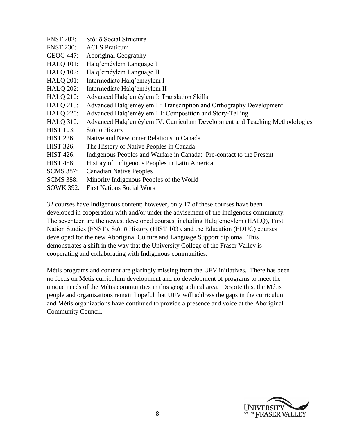| <b>FNST 202:</b> | Stó:lō Social Structure                                                     |
|------------------|-----------------------------------------------------------------------------|
| <b>FNST 230:</b> | <b>ACLS</b> Praticum                                                        |
| GEOG 447:        | Aboriginal Geography                                                        |
| <b>HALQ 101:</b> | Halq'eméylem Language I                                                     |
| <b>HALQ 102:</b> | Halq'eméylem Language II                                                    |
| <b>HALQ 201:</b> | Intermediate Halq'eméylem I                                                 |
| <b>HALQ 202:</b> | Intermediate Halq'eméylem II                                                |
| <b>HALQ 210:</b> | Advanced Halq'eméylem I: Translation Skills                                 |
| <b>HALQ 215:</b> | Advanced Halq'eméylem II: Transcription and Orthography Development         |
| <b>HALQ 220:</b> | Advanced Halq'eméylem III: Composition and Story-Telling                    |
| <b>HALQ 310:</b> | Advanced Halq'eméylem IV: Curriculum Development and Teaching Methodologies |
| <b>HIST 103:</b> | Stó:lō History                                                              |
| <b>HIST 226:</b> | Native and Newcomer Relations in Canada                                     |
| <b>HIST 326:</b> | The History of Native Peoples in Canada                                     |
| <b>HIST 426:</b> | Indigenous Peoples and Warfare in Canada: Pre-contact to the Present        |
| <b>HIST 458:</b> | History of Indigenous Peoples in Latin America                              |
| <b>SCMS 387:</b> | <b>Canadian Native Peoples</b>                                              |
| <b>SCMS</b> 388: | Minority Indigenous Peoples of the World                                    |
| SOWK 392:        | <b>First Nations Social Work</b>                                            |

32 courses have Indigenous content; however, only 17 of these courses have been developed in cooperation with and/or under the advisement of the Indigenous community. The seventeen are the newest developed courses, including Halq'emeylem (HALQ), First Nation Studies (FNST), Stό:lō History (HIST 103), and the Education (EDUC) courses developed for the new Aboriginal Culture and Language Support diploma. This demonstrates a shift in the way that the University College of the Fraser Valley is cooperating and collaborating with Indigenous communities.

Métis programs and content are glaringly missing from the UFV initiatives. There has been no focus on Métis curriculum development and no development of programs to meet the unique needs of the Métis communities in this geographical area. Despite this, the Métis people and organizations remain hopeful that UFV will address the gaps in the curriculum and Métis organizations have continued to provide a presence and voice at the Aboriginal Community Council.

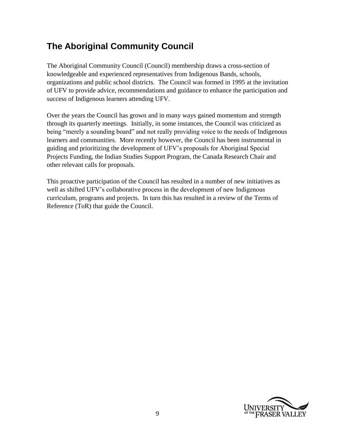## <span id="page-8-0"></span>**The Aboriginal Community Council**

The Aboriginal Community Council (Council) membership draws a cross-section of knowledgeable and experienced representatives from Indigenous Bands, schools, organizations and public school districts. The Council was formed in 1995 at the invitation of UFV to provide advice, recommendations and guidance to enhance the participation and success of Indigenous learners attending UFV.

Over the years the Council has grown and in many ways gained momentum and strength through its quarterly meetings. Initially, in some instances, the Council was criticized as being "merely a sounding board" and not really providing voice to the needs of Indigenous learners and communities. More recently however, the Council has been instrumental in guiding and prioritizing the development of UFV's proposals for Aboriginal Special Projects Funding, the Indian Studies Support Program, the Canada Research Chair and other relevant calls for proposals.

This proactive participation of the Council has resulted in a number of new initiatives as well as shifted UFV's collaborative process in the development of new Indigenous curriculum, programs and projects. In turn this has resulted in a review of the Terms of Reference (ToR) that guide the Council.

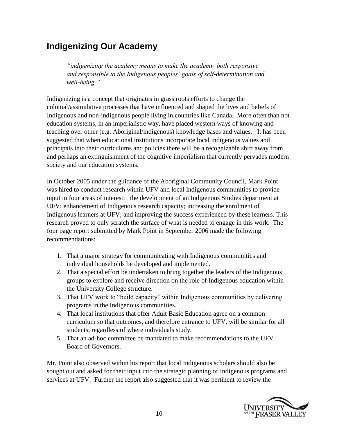## <span id="page-9-0"></span>**Indigenizing Our Academy**

*"indigenizing the academy means to make the academy both responsive and responsible to the Indigenous peoples' goals of self-determination and well-being."*

Indigenizing is a concept that originates in grass roots efforts to change the colonial/assimilative processes that have influenced and shaped the lives and beliefs of Indigenous and non-indigenous people living in countries like Canada. More often than not education systems, in an imperialistic way, have placed western ways of knowing and teaching over other (e.g. Aboriginal/indigenous) knowledge bases and values. It has been suggested that when educational institutions incorporate local indigenous values and principals into their curriculums and policies there will be a recognizable shift away from and perhaps an extinguishment of the cognitive imperialism that currently pervades modern society and our education systems.

In October 2005 under the guidance of the Aboriginal Community Council, Mark Point was hired to conduct research within UFV and local Indigenous communities to provide input in four areas of interest: the development of an Indigenous Studies department at UFV; enhancement of Indigenous research capacity; increasing the enrolment of Indigenous learners at UFV; and improving the success experienced by these learners. This research proved to only scratch the surface of what is needed to engage in this work. The four page report submitted by Mark Point in September 2006 made the following recommendations:

- 1. That a major strategy for communicating with Indigenous communities and individual households be developed and implemented.
- 2. That a special effort be undertaken to bring together the leaders of the Indigenous groups to explore and receive direction on the role of Indigenous education within the University College structure.
- 3. That UFV work to "build capacity" within Indigenous communities by delivering programs in the Indigenous communities.
- 4. That local institutions that offer Adult Basic Education agree on a common curriculum so that outcomes, and therefore entrance to UFV, will be similar for all students, regardless of where individuals study.
- 5. That an ad-hoc committee be mandated to make recommendations to the UFV Board of Governors.

Mr. Point also observed within his report that local Indigenous scholars should also be sought out and asked for their input into the strategic planning of Indigenous programs and services at UFV. Further the report also suggested that it was pertinent to review the

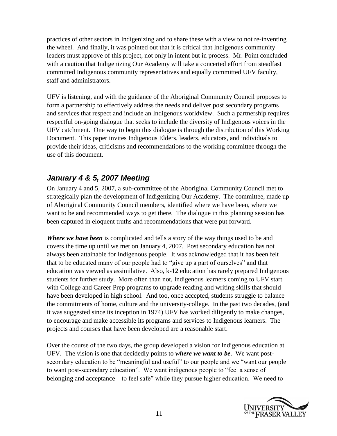practices of other sectors in Indigenizing and to share these with a view to not re-inventing the wheel. And finally, it was pointed out that it is critical that Indigenous community leaders must approve of this project, not only in intent but in process. Mr. Point concluded with a caution that Indigenizing Our Academy will take a concerted effort from steadfast committed Indigenous community representatives and equally committed UFV faculty, staff and administrators.

UFV is listening, and with the guidance of the Aboriginal Community Council proposes to form a partnership to effectively address the needs and deliver post secondary programs and services that respect and include an Indigenous worldview. Such a partnership requires respectful on-going dialogue that seeks to include the diversity of Indigenous voices in the UFV catchment. One way to begin this dialogue is through the distribution of this Working Document. This paper invites Indigenous Elders, leaders, educators, and individuals to provide their ideas, criticisms and recommendations to the working committee through the use of this document.

### <span id="page-10-0"></span>*January 4 & 5, 2007 Meeting*

On January 4 and 5, 2007, a sub-committee of the Aboriginal Community Council met to strategically plan the development of Indigenizing Our Academy. The committee, made up of Aboriginal Community Council members, identified where we have been, where we want to be and recommended ways to get there. The dialogue in this planning session has been captured in eloquent truths and recommendations that were put forward.

*Where we have been* is complicated and tells a story of the way things used to be and covers the time up until we met on January 4, 2007. Post secondary education has not always been attainable for Indigenous people. It was acknowledged that it has been felt that to be educated many of our people had to "give up a part of ourselves" and that education was viewed as assimilative. Also, k-12 education has rarely prepared Indigenous students for further study. More often than not, Indigenous learners coming to UFV start with College and Career Prep programs to upgrade reading and writing skills that should have been developed in high school. And too, once accepted, students struggle to balance the commitments of home, culture and the university-college. In the past two decades, (and it was suggested since its inception in 1974) UFV has worked diligently to make changes, to encourage and make accessible its programs and services to Indigenous learners. The projects and courses that have been developed are a reasonable start.

Over the course of the two days, the group developed a vision for Indigenous education at UFV. The vision is one that decidedly points to *where we want to be*. We want postsecondary education to be "meaningful and useful" to our people and we "want our people to want post-secondary education". We want indigenous people to "feel a sense of belonging and acceptance—to feel safe" while they pursue higher education. We need to

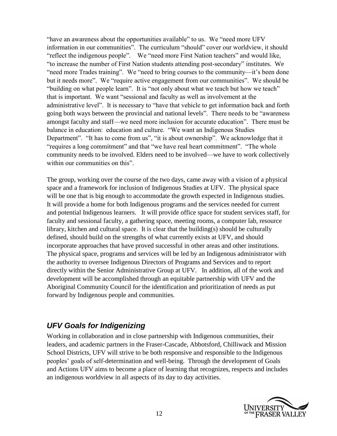"have an awareness about the opportunities available" to us. We "need more UFV information in our communities". The curriculum "should" cover our worldview, it should "reflect the indigenous people". We "need more First Nation teachers" and would like, "to increase the number of First Nation students attending post-secondary" institutes. We "need more Trades training". We "need to bring courses to the community—it's been done but it needs more". We "require active engagement from our communities". We should be "building on what people learn". It is "not only about what we teach but how we teach" that is important. We want "sessional and faculty as well as involvement at the administrative level". It is necessary to "have that vehicle to get information back and forth going both ways between the provincial and national levels". There needs to be "awareness amongst faculty and staff—we need more inclusion for accurate education". There must be balance in education: education and culture. "We want an Indigenous Studies Department". "It has to come from us", "it is about ownership". We acknowledge that it "requires a long commitment" and that "we have real heart commitment". "The whole community needs to be involved. Elders need to be involved—we have to work collectively within our communities on this".

The group, working over the course of the two days, came away with a vision of a physical space and a framework for inclusion of Indigenous Studies at UFV. The physical space will be one that is big enough to accommodate the growth expected in Indigenous studies. It will provide a home for both Indigenous programs and the services needed for current and potential Indigenous learners. It will provide office space for student services staff, for faculty and sessional faculty, a gathering space, meeting rooms, a computer lab, resource library, kitchen and cultural space. It is clear that the building(s) should be culturally defined, should build on the strengths of what currently exists at UFV, and should incorporate approaches that have proved successful in other areas and other institutions. The physical space, programs and services will be led by an Indigenous administrator with the authority to oversee Indigenous Directors of Programs and Services and to report directly within the Senior Administrative Group at UFV. In addition, all of the work and development will be accomplished through an equitable partnership with UFV and the Aboriginal Community Council for the identification and prioritization of needs as put forward by Indigenous people and communities.

## <span id="page-11-0"></span>*UFV Goals for Indigenizing*

Working in collaboration and in close partnership with Indigenous communities, their leaders, and academic partners in the Fraser-Cascade, Abbotsford, Chilliwack and Mission School Districts, UFV will strive to be both responsive and responsible to the Indigenous peoples' goals of self-determination and well-being. Through the development of Goals and Actions UFV aims to become a place of learning that recognizes, respects and includes an indigenous worldview in all aspects of its day to day activities.

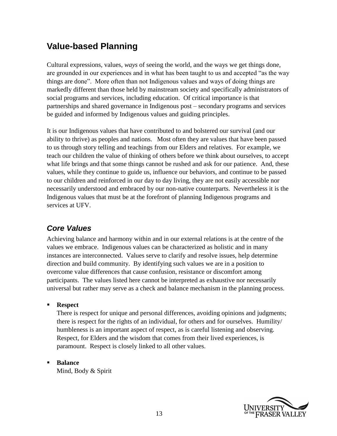## <span id="page-12-0"></span>**Value-based Planning**

Cultural expressions, values, *ways* of seeing the world, and the ways we get things done, are grounded in our experiences and in what has been taught to us and accepted "as the way things are done". More often than not Indigenous values and ways of doing things are markedly different than those held by mainstream society and specifically administrators of social programs and services, including education. Of critical importance is that partnerships and shared governance in Indigenous post – secondary programs and services be guided and informed by Indigenous values and guiding principles.

It is our Indigenous values that have contributed to and bolstered our survival (and our ability to thrive) as peoples and nations. Most often they are values that have been passed to us through story telling and teachings from our Elders and relatives. For example, we teach our children the value of thinking of others before we think about ourselves, to accept what life brings and that some things cannot be rushed and ask for our patience. And, these values, while they continue to guide us, influence our behaviors, and continue to be passed to our children and reinforced in our day to day living, they are not easily accessible nor necessarily understood and embraced by our non-native counterparts. Nevertheless it is the Indigenous values that must be at the forefront of planning Indigenous programs and services at UFV.

## <span id="page-12-1"></span>*Core Values*

Achieving balance and harmony within and in our external relations is at the centre of the values we embrace. Indigenous values can be characterized as holistic and in many instances are interconnected. Values serve to clarify and resolve issues, help determine direction and build community. By identifying such values we are in a position to overcome value differences that cause confusion, resistance or discomfort among participants. The values listed here cannot be interpreted as exhaustive nor necessarily universal but rather may serve as a check and balance mechanism in the planning process.

#### **Respect**

There is respect for unique and personal differences, avoiding opinions and judgments; there is respect for the rights of an individual, for others and for ourselves. Humility/ humbleness is an important aspect of respect, as is careful listening and observing. Respect, for Elders and the wisdom that comes from their lived experiences, is paramount. Respect is closely linked to all other values.

### **Balance**

Mind, Body & Spirit

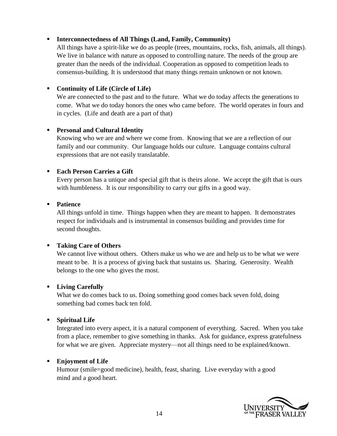#### **Interconnectedness of All Things (Land, Family, Community)**

All things have a spirit-like we do as people (trees, mountains, rocks, fish, animals, all things). We live in balance with nature as opposed to controlling nature. The needs of the group are greater than the needs of the individual. Cooperation as opposed to competition leads to consensus-building. It is understood that many things remain unknown or not known.

#### **Continuity of Life (Circle of Life)**

We are connected to the past and to the future. What we do today affects the generations to come. What we do today honors the ones who came before. The world operates in fours and in cycles. (Life and death are a part of that)

#### **Personal and Cultural Identity**

Knowing who we are and where we come from. Knowing that we are a reflection of our family and our community. Our language holds our culture. Language contains cultural expressions that are not easily translatable.

#### **Each Person Carries a Gift**

Every person has a unique and special gift that is theirs alone. We accept the gift that is ours with humbleness. It is our responsibility to carry our gifts in a good way.

#### **Patience**

All things unfold in time. Things happen when they are meant to happen. It demonstrates respect for individuals and is instrumental in consensus building and provides time for second thoughts.

#### **Taking Care of Others**

We cannot live without others. Others make us who we are and help us to be what we were meant to be. It is a process of giving back that sustains us. Sharing. Generosity. Wealth belongs to the one who gives the most.

#### **Living Carefully**

What we do comes back to us. Doing something good comes back seven fold, doing something bad comes back ten fold.

#### **Spiritual Life**

Integrated into every aspect, it is a natural component of everything. Sacred. When you take from a place, remember to give something in thanks. Ask for guidance, express gratefulness for what we are given. Appreciate mystery—not all things need to be explained/known.

#### **Enjoyment of Life**

Humour (smile=good medicine), health, feast, sharing. Live everyday with a good mind and a good heart.

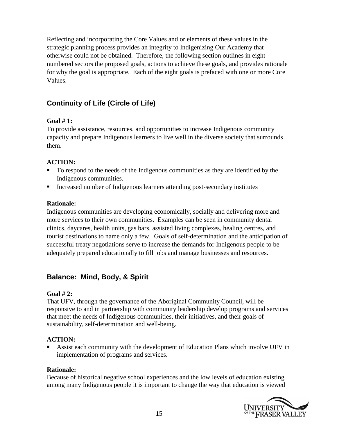Reflecting and incorporating the Core Values and or elements of these values in the strategic planning process provides an integrity to Indigenizing Our Academy that otherwise could not be obtained. Therefore, the following section outlines in eight numbered sectors the proposed goals, actions to achieve these goals, and provides rationale for why the goal is appropriate. Each of the eight goals is prefaced with one or more Core Values.

### <span id="page-14-0"></span>**Continuity of Life (Circle of Life)**

#### **Goal # 1:**

To provide assistance, resources, and opportunities to increase Indigenous community capacity and prepare Indigenous learners to live well in the diverse society that surrounds them.

#### **ACTION:**

- To respond to the needs of the Indigenous communities as they are identified by the Indigenous communities.
- Increased number of Indigenous learners attending post-secondary institutes

#### **Rationale:**

Indigenous communities are developing economically, socially and delivering more and more services to their own communities. Examples can be seen in community dental clinics, daycares, health units, gas bars, assisted living complexes, healing centres, and tourist destinations to name only a few. Goals of self-determination and the anticipation of successful treaty negotiations serve to increase the demands for Indigenous people to be adequately prepared educationally to fill jobs and manage businesses and resources.

### <span id="page-14-1"></span>**Balance: Mind, Body, & Spirit**

#### **Goal # 2:**

That UFV, through the governance of the Aboriginal Community Council, will be responsive to and in partnership with community leadership develop programs and services that meet the needs of Indigenous communities, their initiatives, and their goals of sustainability, self-determination and well-being.

#### **ACTION:**

 Assist each community with the development of Education Plans which involve UFV in implementation of programs and services.

#### **Rationale:**

Because of historical negative school experiences and the low levels of education existing among many Indigenous people it is important to change the way that education is viewed

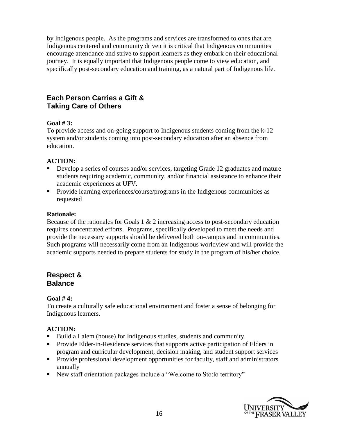by Indigenous people. As the programs and services are transformed to ones that are Indigenous centered and community driven it is critical that Indigenous communities encourage attendance and strive to support learners as they embark on their educational journey. It is equally important that Indigenous people come to view education, and specifically post-secondary education and training, as a natural part of Indigenous life.

### <span id="page-15-0"></span>**Each Person Carries a Gift & Taking Care of Others**

#### **Goal # 3:**

To provide access and on-going support to Indigenous students coming from the k-12 system and/or students coming into post-secondary education after an absence from education.

#### **ACTION:**

- Develop a series of courses and/or services, targeting Grade 12 graduates and mature students requiring academic, community, and/or financial assistance to enhance their academic experiences at UFV.
- **Provide learning experiences/course/programs in the Indigenous communities as** requested

#### **Rationale:**

Because of the rationales for Goals  $1 \& 2$  increasing access to post-secondary education requires concentrated efforts. Programs, specifically developed to meet the needs and provide the necessary supports should be delivered both on-campus and in communities. Such programs will necessarily come from an Indigenous worldview and will provide the academic supports needed to prepare students for study in the program of his/her choice.

#### **Respect & Balance**

#### **Goal # 4:**

To create a culturally safe educational environment and foster a sense of belonging for Indigenous learners.

#### **ACTION:**

- Build a Lalem (house) for Indigenous studies, students and community.
- **Provide Elder-in-Residence services that supports active participation of Elders in** program and curricular development, decision making, and student support services
- **Provide professional development opportunities for faculty, staff and administrators** annually
- New staff orientation packages include a "Welcome to Sto:lo territory"

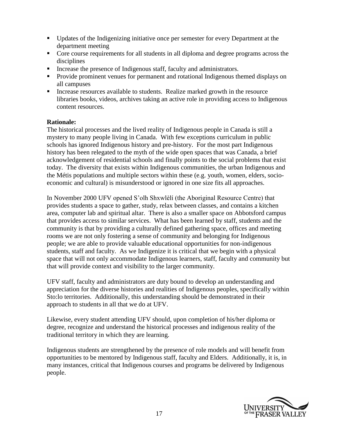- Updates of the Indigenizing initiative once per semester for every Department at the department meeting
- Core course requirements for all students in all diploma and degree programs across the disciplines
- Increase the presence of Indigenous staff, faculty and administrators.
- **Provide prominent venues for permanent and rotational Indigenous themed displays on** all campuses
- Increase resources available to students. Realize marked growth in the resource libraries books, videos, archives taking an active role in providing access to Indigenous content resources.

#### **Rationale:**

The historical processes and the lived reality of Indigenous people in Canada is still a mystery to many people living in Canada. With few exceptions curriculum in public schools has ignored Indigenous history and pre-history. For the most part Indigenous history has been relegated to the myth of the wide open spaces that was Canada, a brief acknowledgement of residential schools and finally points to the social problems that exist today. The diversity that exists within Indigenous communities, the urban Indigenous and the Métis populations and multiple sectors within these (e.g. youth, women, elders, socioeconomic and cultural) is misunderstood or ignored in one size fits all approaches.

In November 2000 UFV opened S'olh Shxwlèlí (the Aboriginal Resource Centre) that provides students a space to gather, study, relax between classes, and contains a kitchen area, computer lab and spiritual altar. There is also a smaller space on Abbotsford campus that provides access to similar services. What has been learned by staff, students and the community is that by providing a culturally defined gathering space, offices and meeting rooms we are not only fostering a sense of community and belonging for Indigenous people; we are able to provide valuable educational opportunities for non-indigenous students, staff and faculty. As we Indigenize it is critical that we begin with a physical space that will not only accommodate Indigenous learners, staff, faculty and community but that will provide context and visibility to the larger community.

UFV staff, faculty and administrators are duty bound to develop an understanding and appreciation for the diverse histories and realities of Indigenous peoples, specifically within Sto:lo territories. Additionally, this understanding should be demonstrated in their approach to students in all that we do at UFV.

Likewise, every student attending UFV should, upon completion of his/her diploma or degree, recognize and understand the historical processes and indigenous reality of the traditional territory in which they are learning.

Indigenous students are strengthened by the presence of role models and will benefit from opportunities to be mentored by Indigenous staff, faculty and Elders. Additionally, it is, in many instances, critical that Indigenous courses and programs be delivered by Indigenous people.

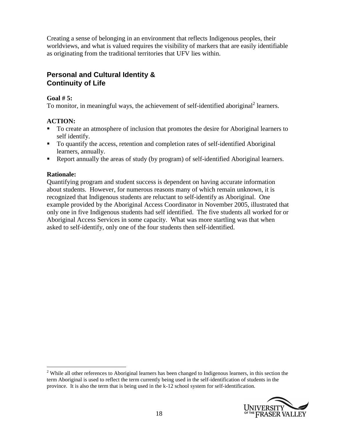Creating a sense of belonging in an environment that reflects Indigenous peoples, their worldviews, and what is valued requires the visibility of markers that are easily identifiable as originating from the traditional territories that UFV lies within.

### **Personal and Cultural Identity & Continuity of Life**

#### **Goal # 5:**

To monitor, in meaningful ways, the achievement of self-identified aboriginal<sup>2</sup> learners.

#### **ACTION:**

- To create an atmosphere of inclusion that promotes the desire for Aboriginal learners to self identify.
- To quantify the access, retention and completion rates of self-identified Aboriginal learners, annually.
- Report annually the areas of study (by program) of self-identified Aboriginal learners.

#### **Rationale:**

 $\overline{a}$ 

Quantifying program and student success is dependent on having accurate information about students. However, for numerous reasons many of which remain unknown, it is recognized that Indigenous students are reluctant to self-identify as Aboriginal. One example provided by the Aboriginal Access Coordinator in November 2005, illustrated that only one in five Indigenous students had self identified. The five students all worked for or Aboriginal Access Services in some capacity. What was more startling was that when asked to self-identify, only one of the four students then self-identified.

<sup>&</sup>lt;sup>2</sup> While all other references to Aboriginal learners has been changed to Indigenous learners, in this section the term Aboriginal is used to reflect the term currently being used in the self-identification of students in the province. It is also the term that is being used in the k-12 school system for self-identification.

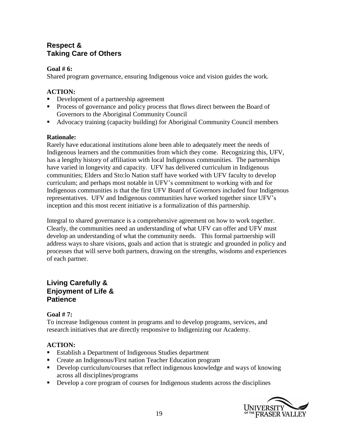### **Respect & Taking Care of Others**

#### **Goal # 6:**

Shared program governance, ensuring Indigenous voice and vision guides the work.

#### **ACTION:**

- Development of a partnership agreement
- **Process of governance and policy process that flows direct between the Board of** Governors to the Aboriginal Community Council
- Advocacy training (capacity building) for Aboriginal Community Council members

#### **Rationale:**

Rarely have educational institutions alone been able to adequately meet the needs of Indigenous learners and the communities from which they come. Recognizing this, UFV, has a lengthy history of affiliation with local Indigenous communities. The partnerships have varied in longevity and capacity. UFV has delivered curriculum in Indigenous communities; Elders and Sto:lo Nation staff have worked with UFV faculty to develop curriculum; and perhaps most notable in UFV's commitment to working with and for Indigenous communities is that the first UFV Board of Governors included four Indigenous representatives. UFV and Indigenous communities have worked together since UFV's inception and this most recent initiative is a formalization of this partnership.

Integral to shared governance is a comprehensive agreement on how to work together. Clearly, the communities need an understanding of what UFV can offer and UFV must develop an understanding of what the community needs. This formal partnership will address ways to share visions, goals and action that is strategic and grounded in policy and processes that will serve both partners, drawing on the strengths, wisdoms and experiences of each partner.

#### **Living Carefully & Enjoyment of Life & Patience**

#### **Goal # 7:**

To increase Indigenous content in programs and to develop programs, services, and research initiatives that are directly responsive to Indigenizing our Academy.

#### **ACTION:**

- Establish a Department of Indigenous Studies department
- **Create an Indigenous/First nation Teacher Education program**
- Develop curriculum/courses that reflect indigenous knowledge and ways of knowing across all disciplines/programs
- Develop a core program of courses for Indigenous students across the disciplines

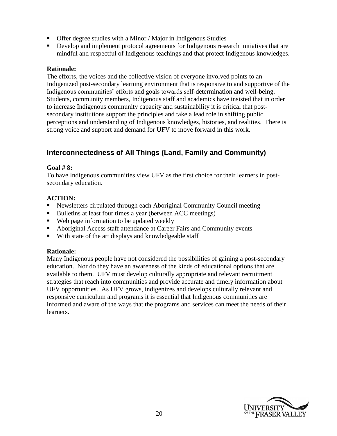- Offer degree studies with a Minor / Major in Indigenous Studies
- Develop and implement protocol agreements for Indigenous research initiatives that are mindful and respectful of Indigenous teachings and that protect Indigenous knowledges.

#### **Rationale:**

The efforts, the voices and the collective vision of everyone involved points to an Indigenized post-secondary learning environment that is responsive to and supportive of the Indigenous communities' efforts and goals towards self-determination and well-being. Students, community members, Indigenous staff and academics have insisted that in order to increase Indigenous community capacity and sustainability it is critical that postsecondary institutions support the principles and take a lead role in shifting public perceptions and understanding of Indigenous knowledges, histories, and realities. There is strong voice and support and demand for UFV to move forward in this work.

### **Interconnectedness of All Things (Land, Family and Community)**

#### **Goal # 8:**

To have Indigenous communities view UFV as the first choice for their learners in postsecondary education.

#### **ACTION:**

- Newsletters circulated through each Aboriginal Community Council meeting
- Bulletins at least four times a year (between ACC meetings)
- Web page information to be updated weekly
- Aboriginal Access staff attendance at Career Fairs and Community events
- With state of the art displays and knowledgeable staff

#### **Rationale:**

Many Indigenous people have not considered the possibilities of gaining a post-secondary education. Nor do they have an awareness of the kinds of educational options that are available to them. UFV must develop culturally appropriate and relevant recruitment strategies that reach into communities and provide accurate and timely information about UFV opportunities. As UFV grows, indigenizes and develops culturally relevant and responsive curriculum and programs it is essential that Indigenous communities are informed and aware of the ways that the programs and services can meet the needs of their learners.